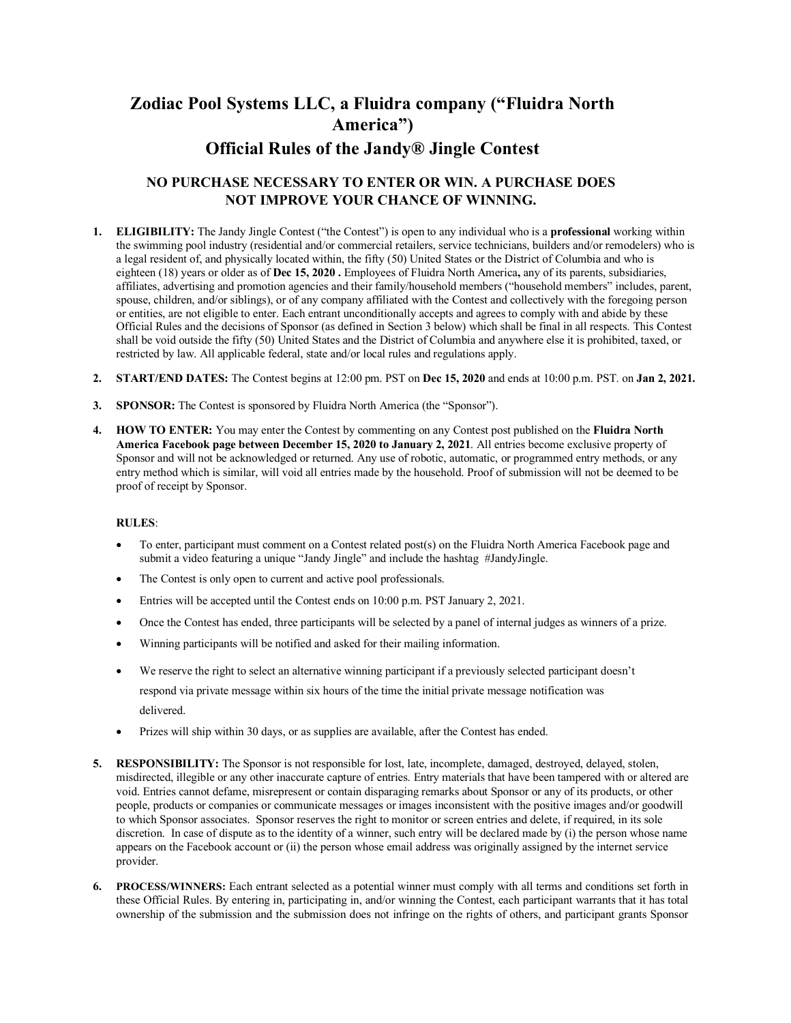# **Zodiac Pool Systems LLC, a Fluidra company ("Fluidra North America") Official Rules of the Jandy® Jingle Contest**

## **NO PURCHASE NECESSARY TO ENTER OR WIN. A PURCHASE DOES NOT IMPROVE YOUR CHANCE OF WINNING.**

- **1. ELIGIBILITY:** The Jandy Jingle Contest ("the Contest") is open to any individual who is a **professional** working within the swimming pool industry (residential and/or commercial retailers, service technicians, builders and/or remodelers) who is a legal resident of, and physically located within, the fifty (50) United States or the District of Columbia and who is eighteen (18) years or older as of **Dec 15, 2020 .** Employees of Fluidra North America**,** any of its parents, subsidiaries, affiliates, advertising and promotion agencies and their family/household members ("household members" includes, parent, spouse, children, and/or siblings), or of any company affiliated with the Contest and collectively with the foregoing person or entities, are not eligible to enter. Each entrant unconditionally accepts and agrees to comply with and abide by these Official Rules and the decisions of Sponsor (as defined in Section 3 below) which shall be final in all respects. This Contest shall be void outside the fifty (50) United States and the District of Columbia and anywhere else it is prohibited, taxed, or restricted by law. All applicable federal, state and/or local rules and regulations apply.
- **2. START/END DATES:** The Contest begins at 12:00 pm. PST on **Dec 15, 2020** and ends at 10:00 p.m. PST. on **Jan 2, 2021.**
- **3. SPONSOR:** The Contest is sponsored by Fluidra North America (the "Sponsor").
- **4. HOW TO ENTER:** You may enter the Contest by commenting on any Contest post published on the **Fluidra North America Facebook page between December 15, 2020 to January 2, 2021**. All entries become exclusive property of Sponsor and will not be acknowledged or returned. Any use of robotic, automatic, or programmed entry methods, or any entry method which is similar, will void all entries made by the household. Proof of submission will not be deemed to be proof of receipt by Sponsor.

#### **RULES**:

- To enter, participant must comment on a Contest related post(s) on the Fluidra North America Facebook page and submit a video featuring a unique "Jandy Jingle" and include the hashtag #JandyJingle.
- The Contest is only open to current and active pool professionals.
- Entries will be accepted until the Contest ends on 10:00 p.m. PST January 2, 2021.
- Once the Contest has ended, three participants will be selected by a panel of internal judges as winners of a prize.
- Winning participants will be notified and asked for their mailing information.
- We reserve the right to select an alternative winning participant if a previously selected participant doesn't respond via private message within six hours of the time the initial private message notification was delivered.
- Prizes will ship within 30 days, or as supplies are available, after the Contest has ended.
- **5. RESPONSIBILITY:** The Sponsor is not responsible for lost, late, incomplete, damaged, destroyed, delayed, stolen, misdirected, illegible or any other inaccurate capture of entries. Entry materials that have been tampered with or altered are void. Entries cannot defame, misrepresent or contain disparaging remarks about Sponsor or any of its products, or other people, products or companies or communicate messages or images inconsistent with the positive images and/or goodwill to which Sponsor associates. Sponsor reserves the right to monitor or screen entries and delete, if required, in its sole discretion. In case of dispute as to the identity of a winner, such entry will be declared made by (i) the person whose name appears on the Facebook account or (ii) the person whose email address was originally assigned by the internet service provider.
- **6. PROCESS/WINNERS:** Each entrant selected as a potential winner must comply with all terms and conditions set forth in these Official Rules. By entering in, participating in, and/or winning the Contest, each participant warrants that it has total ownership of the submission and the submission does not infringe on the rights of others, and participant grants Sponsor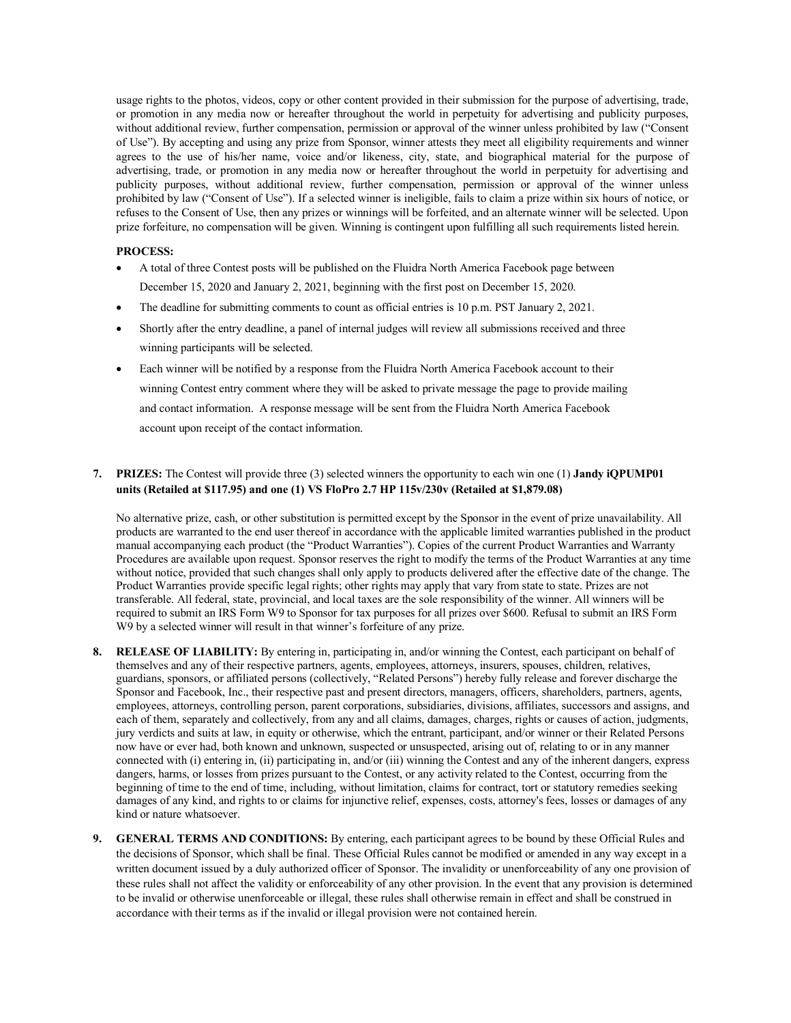usage rights to the photos, videos, copy or other content provided in their submission for the purpose of advertising, trade, or promotion in any media now or hereafter throughout the world in perpetuity for advertising and publicity purposes, without additional review, further compensation, permission or approval of the winner unless prohibited by law ("Consent of Use"). By accepting and using any prize from Sponsor, winner attests they meet all eligibility requirements and winner agrees to the use of his/her name, voice and/or likeness, city, state, and biographical material for the purpose of advertising, trade, or promotion in any media now or hereafter throughout the world in perpetuity for advertising and publicity purposes, without additional review, further compensation, permission or approval of the winner unless prohibited by law ("Consent of Use"). If a selected winner is ineligible, fails to claim a prize within six hours of notice, or refuses to the Consent of Use, then any prizes or winnings will be forfeited, and an alternate winner will be selected. Upon prize forfeiture, no compensation will be given. Winning is contingent upon fulfilling all such requirements listed herein.

#### **PROCESS:**

- A total of three Contest posts will be published on the Fluidra North America Facebook page between December 15, 2020 and January 2, 2021, beginning with the first post on December 15, 2020.
- The deadline for submitting comments to count as official entries is 10 p.m. PST January 2, 2021.
- Shortly after the entry deadline, a panel of internal judges will review all submissions received and three winning participants will be selected.
- Each winner will be notified by a response from the Fluidra North America Facebook account to their winning Contest entry comment where they will be asked to private message the page to provide mailing and contact information. A response message will be sent from the Fluidra North America Facebook account upon receipt of the contact information.

### **7. PRIZES:** The Contest will provide three (3) selected winners the opportunity to each win one (1) **Jandy iQPUMP01 units (Retailed at \$117.95) and one (1) VS FloPro 2.7 HP 115v/230v (Retailed at \$1,879.08)**

No alternative prize, cash, or other substitution is permitted except by the Sponsor in the event of prize unavailability. All products are warranted to the end user thereof in accordance with the applicable limited warranties published in the product manual accompanying each product (the "Product Warranties"). Copies of the current Product Warranties and Warranty Procedures are available upon request. Sponsor reserves the right to modify the terms of the Product Warranties at any time without notice, provided that such changes shall only apply to products delivered after the effective date of the change. The Product Warranties provide specific legal rights; other rights may apply that vary from state to state. Prizes are not transferable. All federal, state, provincial, and local taxes are the sole responsibility of the winner. All winners will be required to submit an IRS Form W9 to Sponsor for tax purposes for all prizes over \$600. Refusal to submit an IRS Form W9 by a selected winner will result in that winner's forfeiture of any prize.

- **8. RELEASE OF LIABILITY:** By entering in, participating in, and/or winning the Contest, each participant on behalf of themselves and any of their respective partners, agents, employees, attorneys, insurers, spouses, children, relatives, guardians, sponsors, or affiliated persons (collectively, "Related Persons") hereby fully release and forever discharge the Sponsor and Facebook, Inc., their respective past and present directors, managers, officers, shareholders, partners, agents, employees, attorneys, controlling person, parent corporations, subsidiaries, divisions, affiliates, successors and assigns, and each of them, separately and collectively, from any and all claims, damages, charges, rights or causes of action, judgments, jury verdicts and suits at law, in equity or otherwise, which the entrant, participant, and/or winner or their Related Persons now have or ever had, both known and unknown, suspected or unsuspected, arising out of, relating to or in any manner connected with (i) entering in, (ii) participating in, and/or (iii) winning the Contest and any of the inherent dangers, express dangers, harms, or losses from prizes pursuant to the Contest, or any activity related to the Contest, occurring from the beginning of time to the end of time, including, without limitation, claims for contract, tort or statutory remedies seeking damages of any kind, and rights to or claims for injunctive relief, expenses, costs, attorney's fees, losses or damages of any kind or nature whatsoever.
- **9. GENERAL TERMS AND CONDITIONS:** By entering, each participant agrees to be bound by these Official Rules and the decisions of Sponsor, which shall be final. These Official Rules cannot be modified or amended in any way except in a written document issued by a duly authorized officer of Sponsor. The invalidity or unenforceability of any one provision of these rules shall not affect the validity or enforceability of any other provision. In the event that any provision is determined to be invalid or otherwise unenforceable or illegal, these rules shall otherwise remain in effect and shall be construed in accordance with their terms as if the invalid or illegal provision were not contained herein.